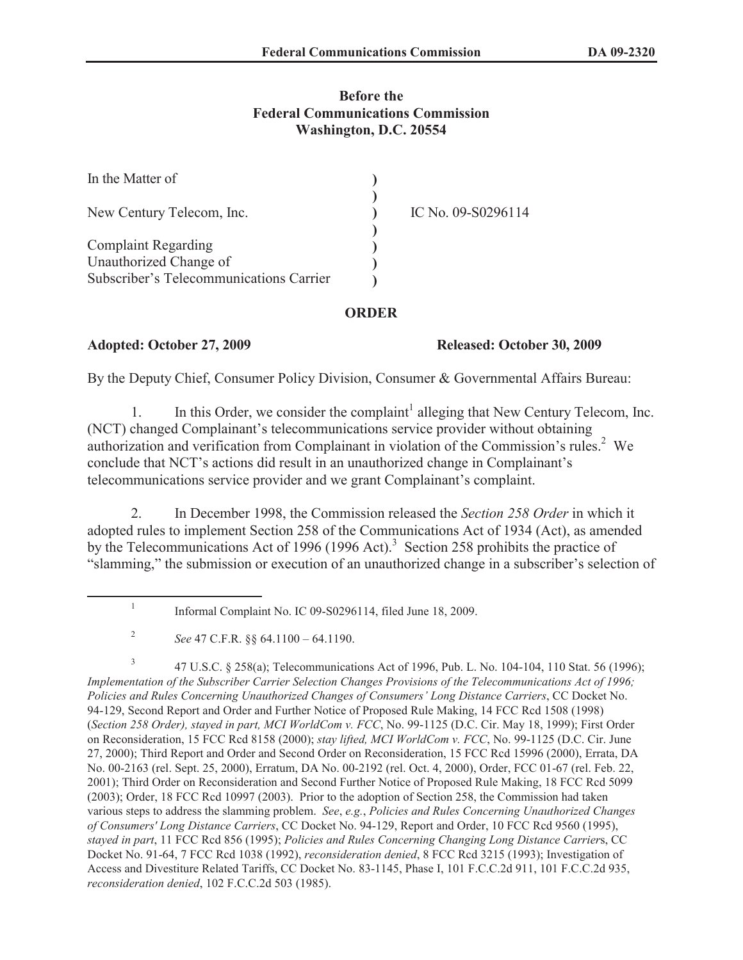## **Before the Federal Communications Commission Washington, D.C. 20554**

| In the Matter of                                     |                    |
|------------------------------------------------------|--------------------|
| New Century Telecom, Inc.                            | IC No. 09-S0296114 |
| <b>Complaint Regarding</b><br>Unauthorized Change of |                    |
| Subscriber's Telecommunications Carrier              |                    |

### **ORDER**

### **Adopted: October 27, 2009 Released: October 30, 2009**

By the Deputy Chief, Consumer Policy Division, Consumer & Governmental Affairs Bureau:

1. In this Order, we consider the complaint<sup>1</sup> alleging that New Century Telecom, Inc. (NCT) changed Complainant's telecommunications service provider without obtaining authorization and verification from Complainant in violation of the Commission's rules.<sup>2</sup> We conclude that NCT's actions did result in an unauthorized change in Complainant's telecommunications service provider and we grant Complainant's complaint.

2. In December 1998, the Commission released the *Section 258 Order* in which it adopted rules to implement Section 258 of the Communications Act of 1934 (Act), as amended by the Telecommunications Act of 1996 (1996 Act).<sup>3</sup> Section 258 prohibits the practice of "slamming," the submission or execution of an unauthorized change in a subscriber's selection of

3 47 U.S.C. § 258(a); Telecommunications Act of 1996, Pub. L. No. 104-104, 110 Stat. 56 (1996); *Implementation of the Subscriber Carrier Selection Changes Provisions of the Telecommunications Act of 1996; Policies and Rules Concerning Unauthorized Changes of Consumers' Long Distance Carriers*, CC Docket No. 94-129, Second Report and Order and Further Notice of Proposed Rule Making, 14 FCC Rcd 1508 (1998) (*Section 258 Order), stayed in part, MCI WorldCom v. FCC*, No. 99-1125 (D.C. Cir. May 18, 1999); First Order on Reconsideration, 15 FCC Rcd 8158 (2000); *stay lifted, MCI WorldCom v. FCC*, No. 99-1125 (D.C. Cir. June 27, 2000); Third Report and Order and Second Order on Reconsideration, 15 FCC Rcd 15996 (2000), Errata, DA No. 00-2163 (rel. Sept. 25, 2000), Erratum, DA No. 00-2192 (rel. Oct. 4, 2000), Order, FCC 01-67 (rel. Feb. 22, 2001); Third Order on Reconsideration and Second Further Notice of Proposed Rule Making, 18 FCC Rcd 5099 (2003); Order, 18 FCC Rcd 10997 (2003). Prior to the adoption of Section 258, the Commission had taken various steps to address the slamming problem. *See*, *e.g.*, *Policies and Rules Concerning Unauthorized Changes of Consumers' Long Distance Carriers*, CC Docket No. 94-129, Report and Order, 10 FCC Rcd 9560 (1995), *stayed in part*, 11 FCC Rcd 856 (1995); *Policies and Rules Concerning Changing Long Distance Carrier*s, CC Docket No. 91-64, 7 FCC Rcd 1038 (1992), *reconsideration denied*, 8 FCC Rcd 3215 (1993); Investigation of Access and Divestiture Related Tariffs, CC Docket No. 83-1145, Phase I, 101 F.C.C.2d 911, 101 F.C.C.2d 935, *reconsideration denied*, 102 F.C.C.2d 503 (1985).

<sup>1</sup> Informal Complaint No. IC 09-S0296114, filed June 18, 2009.

<sup>2</sup> *See* 47 C.F.R. §§ 64.1100 – 64.1190.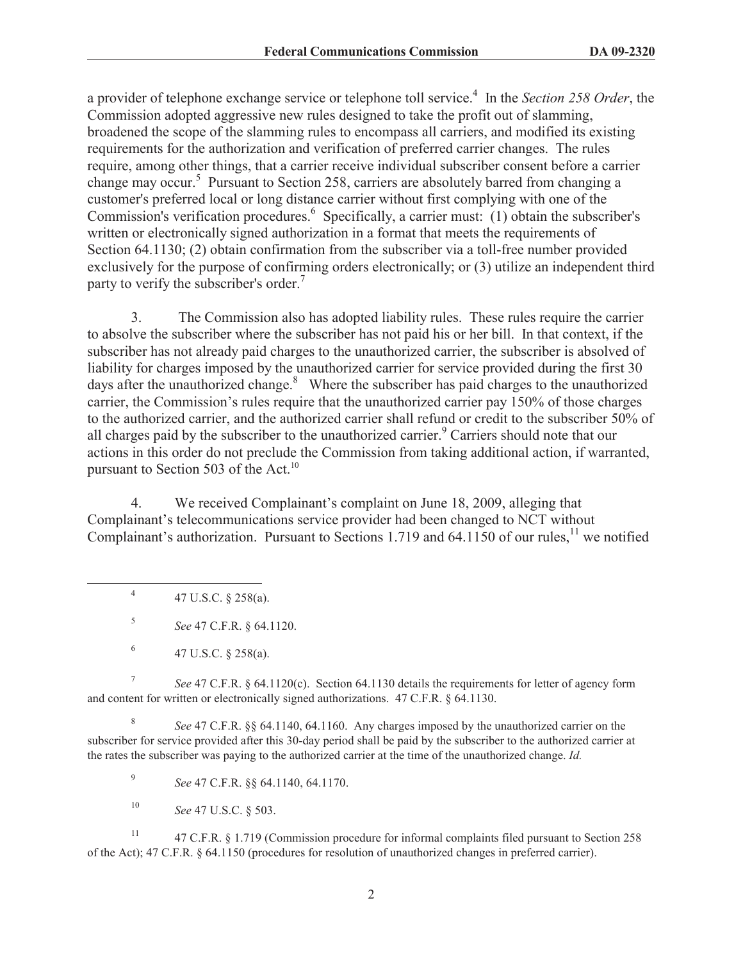a provider of telephone exchange service or telephone toll service.<sup>4</sup> In the *Section 258 Order*, the Commission adopted aggressive new rules designed to take the profit out of slamming, broadened the scope of the slamming rules to encompass all carriers, and modified its existing requirements for the authorization and verification of preferred carrier changes. The rules require, among other things, that a carrier receive individual subscriber consent before a carrier change may occur.<sup>5</sup> Pursuant to Section 258, carriers are absolutely barred from changing a customer's preferred local or long distance carrier without first complying with one of the Commission's verification procedures.<sup>6</sup> Specifically, a carrier must: (1) obtain the subscriber's written or electronically signed authorization in a format that meets the requirements of Section 64.1130; (2) obtain confirmation from the subscriber via a toll-free number provided exclusively for the purpose of confirming orders electronically; or (3) utilize an independent third party to verify the subscriber's order.<sup>7</sup>

3. The Commission also has adopted liability rules. These rules require the carrier to absolve the subscriber where the subscriber has not paid his or her bill. In that context, if the subscriber has not already paid charges to the unauthorized carrier, the subscriber is absolved of liability for charges imposed by the unauthorized carrier for service provided during the first 30 days after the unauthorized change.<sup>8</sup> Where the subscriber has paid charges to the unauthorized carrier, the Commission's rules require that the unauthorized carrier pay 150% of those charges to the authorized carrier, and the authorized carrier shall refund or credit to the subscriber 50% of all charges paid by the subscriber to the unauthorized carrier.<sup>9</sup> Carriers should note that our actions in this order do not preclude the Commission from taking additional action, if warranted, pursuant to Section 503 of the Act.<sup>10</sup>

4. We received Complainant's complaint on June 18, 2009, alleging that Complainant's telecommunications service provider had been changed to NCT without Complainant's authorization. Pursuant to Sections 1.719 and 64.1150 of our rules,<sup>11</sup> we notified

4 47 U.S.C. § 258(a).

5 *See* 47 C.F.R. § 64.1120.

7 *See* 47 C.F.R. § 64.1120(c). Section 64.1130 details the requirements for letter of agency form and content for written or electronically signed authorizations. 47 C.F.R. § 64.1130.

8 *See* 47 C.F.R. §§ 64.1140, 64.1160. Any charges imposed by the unauthorized carrier on the subscriber for service provided after this 30-day period shall be paid by the subscriber to the authorized carrier at the rates the subscriber was paying to the authorized carrier at the time of the unauthorized change. *Id.*

9 *See* 47 C.F.R. §§ 64.1140, 64.1170.

<sup>10</sup> *See* 47 U.S.C. § 503.

<sup>11</sup> 47 C.F.R. § 1.719 (Commission procedure for informal complaints filed pursuant to Section 258 of the Act); 47 C.F.R. § 64.1150 (procedures for resolution of unauthorized changes in preferred carrier).

<sup>6</sup> 47 U.S.C. § 258(a).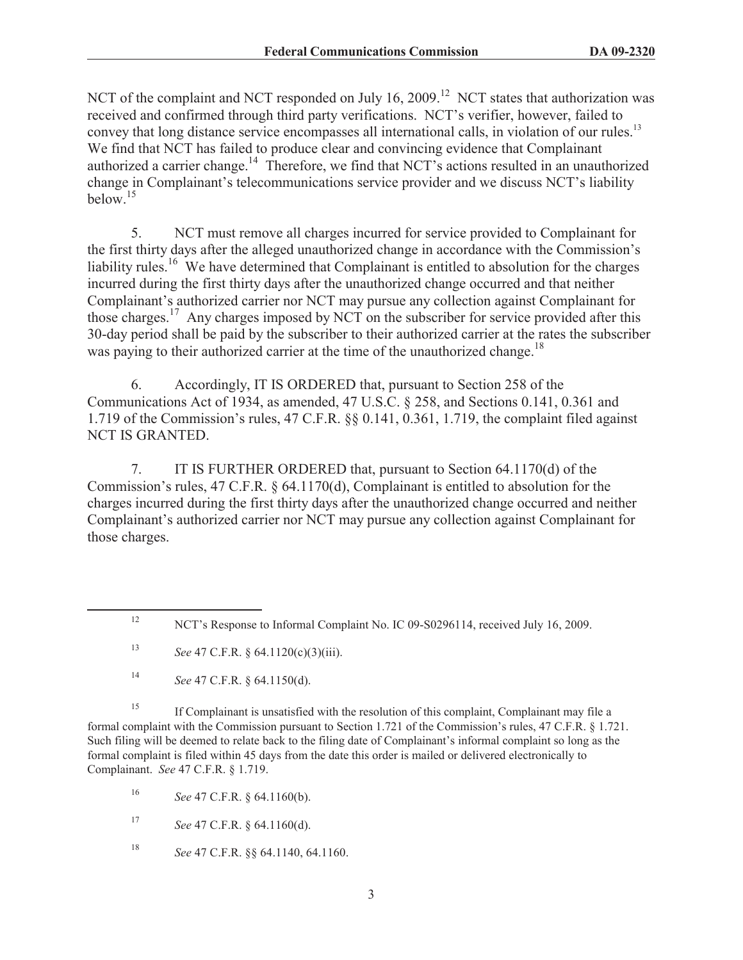NCT of the complaint and NCT responded on July 16, 2009.<sup>12</sup> NCT states that authorization was received and confirmed through third party verifications. NCT's verifier, however, failed to convey that long distance service encompasses all international calls, in violation of our rules.<sup>13</sup> We find that NCT has failed to produce clear and convincing evidence that Complainant authorized a carrier change.<sup>14</sup> Therefore, we find that NCT's actions resulted in an unauthorized change in Complainant's telecommunications service provider and we discuss NCT's liability  $below<sup>15</sup>$ 

5. NCT must remove all charges incurred for service provided to Complainant for the first thirty days after the alleged unauthorized change in accordance with the Commission's liability rules.<sup>16</sup> We have determined that Complainant is entitled to absolution for the charges incurred during the first thirty days after the unauthorized change occurred and that neither Complainant's authorized carrier nor NCT may pursue any collection against Complainant for those charges.<sup>17</sup> Any charges imposed by NCT on the subscriber for service provided after this 30-day period shall be paid by the subscriber to their authorized carrier at the rates the subscriber was paying to their authorized carrier at the time of the unauthorized change.<sup>18</sup>

6. Accordingly, IT IS ORDERED that, pursuant to Section 258 of the Communications Act of 1934, as amended, 47 U.S.C. § 258, and Sections 0.141, 0.361 and 1.719 of the Commission's rules, 47 C.F.R. §§ 0.141, 0.361, 1.719, the complaint filed against NCT IS GRANTED.

7. IT IS FURTHER ORDERED that, pursuant to Section 64.1170(d) of the Commission's rules, 47 C.F.R. § 64.1170(d), Complainant is entitled to absolution for the charges incurred during the first thirty days after the unauthorized change occurred and neither Complainant's authorized carrier nor NCT may pursue any collection against Complainant for those charges.

<sup>15</sup> If Complainant is unsatisfied with the resolution of this complaint, Complainant may file a formal complaint with the Commission pursuant to Section 1.721 of the Commission's rules, 47 C.F.R. § 1.721. Such filing will be deemed to relate back to the filing date of Complainant's informal complaint so long as the formal complaint is filed within 45 days from the date this order is mailed or delivered electronically to Complainant. *See* 47 C.F.R. § 1.719.

<sup>16</sup> *See* 47 C.F.R. § 64.1160(b).

<sup>17</sup> *See* 47 C.F.R. § 64.1160(d).

<sup>18</sup> *See* 47 C.F.R. §§ 64.1140, 64.1160.

<sup>&</sup>lt;sup>12</sup> NCT's Response to Informal Complaint No. IC 09-S0296114, received July 16, 2009.

<sup>13</sup> *See* 47 C.F.R. § 64.1120(c)(3)(iii).

<sup>14</sup> *See* 47 C.F.R. § 64.1150(d).